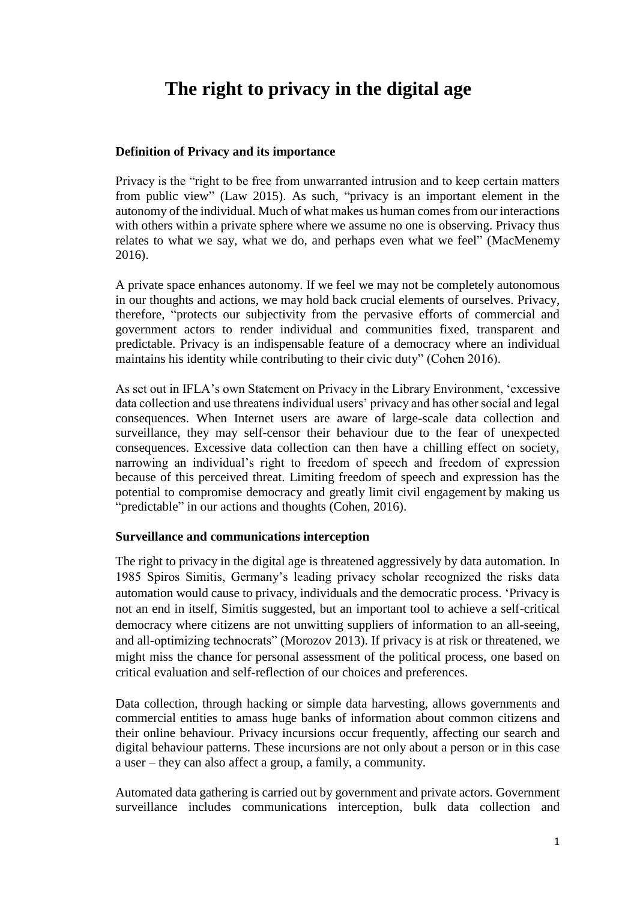# **The right to privacy in the digital age**

## **Definition of Privacy and its importance**

Privacy is the "right to be free from unwarranted intrusion and to keep certain matters from public view" (Law 2015). As such, "privacy is an important element in the autonomy of the individual. Much of what makes us human comes from our interactions with others within a private sphere where we assume no one is observing. Privacy thus relates to what we say, what we do, and perhaps even what we feel" (MacMenemy 2016).

A private space enhances autonomy. If we feel we may not be completely autonomous in our thoughts and actions, we may hold back crucial elements of ourselves. Privacy, therefore, "protects our subjectivity from the pervasive efforts of commercial and government actors to render individual and communities fixed, transparent and predictable. Privacy is an indispensable feature of a democracy where an individual maintains his identity while contributing to their civic duty" (Cohen 2016).

As set out in IFLA's own Statement on Privacy in the Library Environment, 'excessive data collection and use threatens individual users' privacy and has other social and legal consequences. When Internet users are aware of large-scale data collection and surveillance, they may self-censor their behaviour due to the fear of unexpected consequences. Excessive data collection can then have a chilling effect on society, narrowing an individual's right to freedom of speech and freedom of expression because of this perceived threat. Limiting freedom of speech and expression has the potential to compromise democracy and greatly limit civil engagement by making us "predictable" in our actions and thoughts (Cohen, 2016).

### **Surveillance and communications interception**

The right to privacy in the digital age is threatened aggressively by data automation. In 1985 Spiros Simitis, Germany's leading privacy scholar recognized the risks data automation would cause to privacy, individuals and the democratic process. 'Privacy is not an end in itself, Simitis suggested, but an important tool to achieve a self-critical democracy where citizens are not unwitting suppliers of information to an all-seeing, and all-optimizing technocrats" (Morozov 2013). If privacy is at risk or threatened, we might miss the chance for personal assessment of the political process, one based on critical evaluation and self-reflection of our choices and preferences.

Data collection, through hacking or simple data harvesting, allows governments and commercial entities to amass huge banks of information about common citizens and their online behaviour. Privacy incursions occur frequently, affecting our search and digital behaviour patterns. These incursions are not only about a person or in this case a user – they can also affect a group, a family, a community.

Automated data gathering is carried out by government and private actors. Government surveillance includes communications interception, bulk data collection and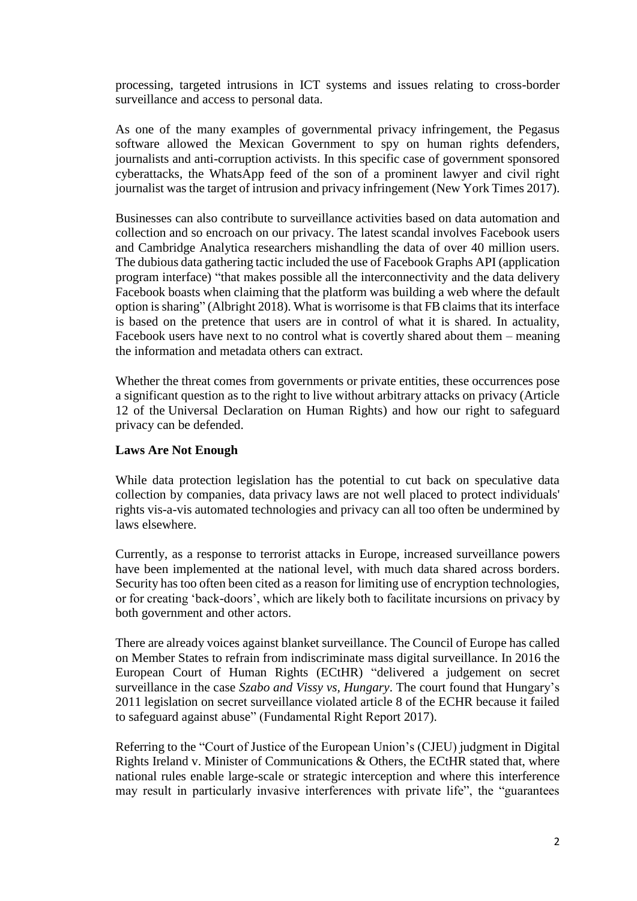processing, targeted intrusions in ICT systems and issues relating to cross-border surveillance and access to personal data.

As one of the many examples of governmental privacy infringement, the Pegasus software allowed the Mexican Government to spy on human rights defenders, journalists and anti-corruption activists. In this specific case of government sponsored cyberattacks, the WhatsApp feed of the son of a prominent lawyer and civil right journalist was the target of intrusion and privacy infringement (New York Times 2017).

Businesses can also contribute to surveillance activities based on data automation and collection and so encroach on our privacy. The latest scandal involves Facebook users and Cambridge Analytica researchers mishandling the data of over 40 million users. The dubious data gathering tactic included the use of Facebook Graphs API (application program interface) "that makes possible all the interconnectivity and the data delivery Facebook boasts when claiming that the platform was building a web where the default option is sharing" (Albright 2018). What is worrisome is that FB claims that its interface is based on the pretence that users are in control of what it is shared. In actuality, Facebook users have next to no control what is covertly shared about them – meaning the information and metadata others can extract.

Whether the threat comes from governments or private entities, these occurrences pose a significant question as to the right to live without arbitrary attacks on privacy (Article 12 of the [Universal Declaration on Human Rights\)](http://www.un.org/en/universal-declaration-human-rights/) and how our right to safeguard privacy can be defended.

### **Laws Are Not Enough**

While data protection legislation has the potential to cut back on speculative data collection by companies, data privacy laws are not well placed to protect individuals' rights vis-a-vis automated technologies and privacy can all too often be undermined by laws elsewhere.

Currently, as a response to terrorist attacks in Europe, increased surveillance powers have been implemented at the national level, with much data shared across borders. Security has too often been cited as a reason for limiting use of encryption technologies, or for creating 'back-doors', which are likely both to facilitate incursions on privacy by both government and other actors.

There are already voices against blanket surveillance. The Council of Europe has called on Member States to refrain from indiscriminate mass digital surveillance. In 2016 the European Court of Human Rights (ECtHR) "delivered a judgement on secret surveillance in the case *Szabo and Vissy vs, Hungary*. The court found that Hungary's 2011 legislation on secret surveillance violated article 8 of the ECHR because it failed to safeguard against abuse" (Fundamental Right Report 2017).

Referring to the "Court of Justice of the European Union's (CJEU) judgment in Digital Rights Ireland v. Minister of Communications & Others, the ECtHR stated that, where national rules enable large-scale or strategic interception and where this interference may result in particularly invasive interferences with private life", the "guarantees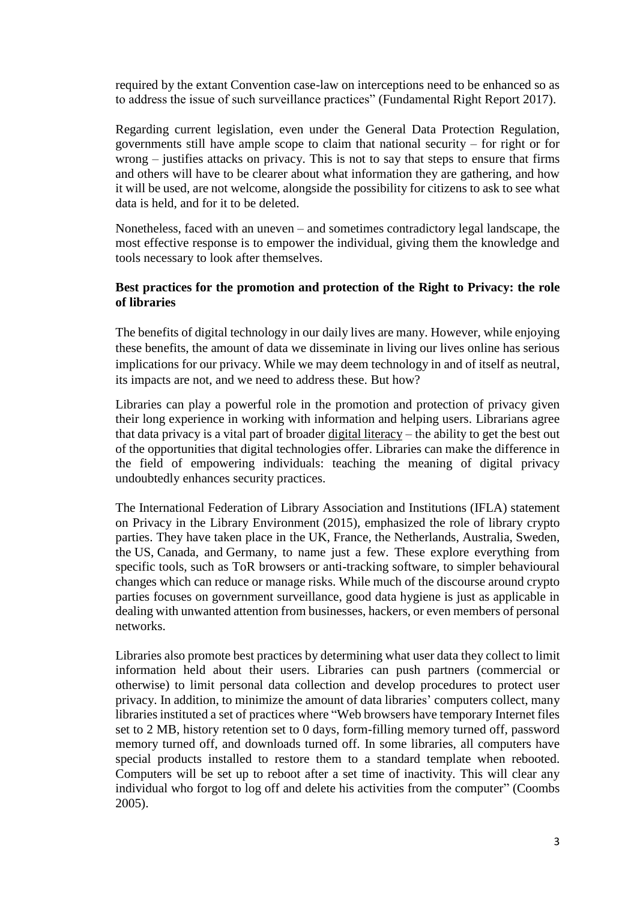required by the extant Convention case-law on interceptions need to be enhanced so as to address the issue of such surveillance practices" (Fundamental Right Report 2017).

Regarding current legislation, even under the General Data Protection Regulation, governments still have ample scope to claim that national security – for right or for wrong – justifies attacks on privacy. This is not to say that steps to ensure that firms and others will have to be clearer about what information they are gathering, and how it will be used, are not welcome, alongside the possibility for citizens to ask to see what data is held, and for it to be deleted.

Nonetheless, faced with an uneven – and sometimes contradictory legal landscape, the most effective response is to empower the individual, giving them the knowledge and tools necessary to look after themselves.

## **Best practices for the promotion and protection of the Right to Privacy: the role of libraries**

The benefits of digital technology in our daily lives are many. However, while enjoying these benefits, the amount of data we disseminate in living our lives online has serious implications for our privacy. While we may deem technology in and of itself as neutral, its impacts are not, and we need to address these. But how?

Libraries can play a powerful role in the promotion and protection of privacy given their long experience in working with information and helping users. Librarians agree that data privacy is a vital part of broader [digital literacy](https://www.ifla.org/publications/node/11586) – the ability to get the best out of the opportunities that digital technologies offer. Libraries can make the difference in the field of empowering individuals: teaching the meaning of digital privacy undoubtedly enhances security practices.

The [International Federation of Library Association and Institutions](https://www.ifla.org/files/assets/hq/news/documents/ifla-statement-on-privacy-in-the-library-environment.pdf) (IFLA) statement [on Privacy in the Library Environment](https://www.ifla.org/files/assets/hq/news/documents/ifla-statement-on-privacy-in-the-library-environment.pdf) (2015), emphasized the role of library crypto parties. They have taken place in the [UK,](https://medium.com/@alexhaydock/what-we-learned-from-hosting-our-cryptoparty-3950c9721f3e) [France,](https://hal.archives-ouvertes.fr/hal-01504076/document) [the Netherlands,](https://www.cryptoparty.in/enschede) [Australia,](https://www.cryptoparty.in/melbourne) [Sweden,](http://www.mdh.se/cryptoparty-1.87505?l=en_UK) the [US,](https://www.facebook.com/events/113396882662105/) [Canada,](https://vpl.bibliocommons.com/events/58daf9466cc8d82b00ed1d3a) and [Germany,](http://www.stadt-koeln.de/leben-in-koeln/freizeit-natur-sport/veranstaltungskalender/zentralbibliothek-makerspace-cryptoparty-5) to name just a few. These explore everything from specific tools, such as ToR browsers or anti-tracking software, to simpler behavioural changes which can reduce or manage risks. While much of the discourse around crypto parties focuses on government surveillance, good data hygiene is just as applicable in dealing with unwanted attention from businesses, hackers, or even members of personal networks.

Libraries also promote best practices by determining what user data they collect to limit information held about their users. Libraries can push partners (commercial or otherwise) to limit personal data collection and develop procedures to protect user privacy. In addition, to minimize the amount of data libraries' computers collect, many libraries instituted a set of practices where "Web browsers have temporary Internet files set to 2 MB, history retention set to 0 days, form-filling memory turned off, password memory turned off, and downloads turned off. In some libraries, all computers have special products installed to restore them to a standard template when rebooted. Computers will be set up to reboot after a set time of inactivity. This will clear any individual who forgot to log off and delete his activities from the computer" (Coombs 2005).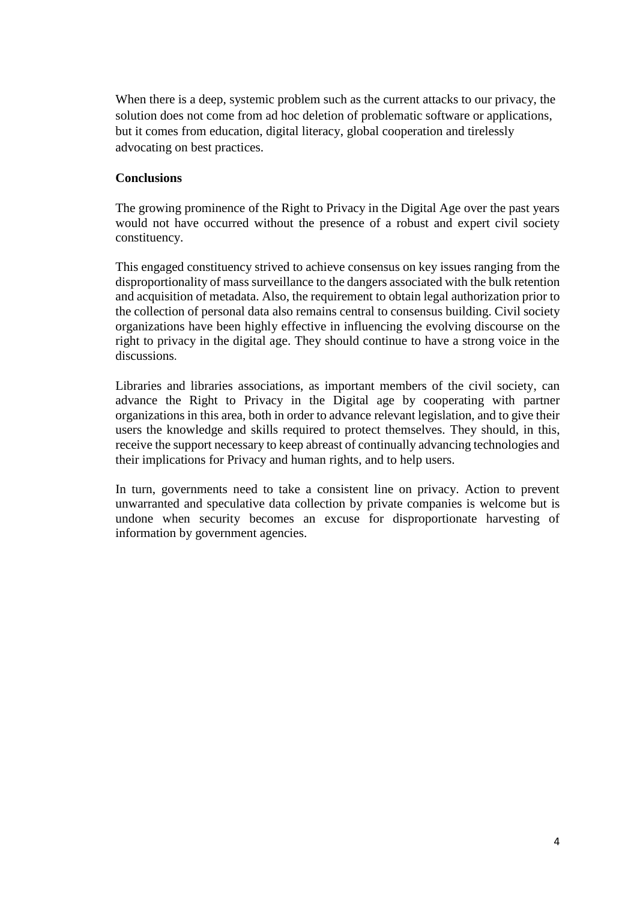When there is a deep, systemic problem such as the current attacks to our privacy, the solution does not come from ad hoc deletion of problematic software or applications, but it comes from education, digital literacy, global cooperation and tirelessly advocating on best practices.

### **Conclusions**

The growing prominence of the Right to Privacy in the Digital Age over the past years would not have occurred without the presence of a robust and expert civil society constituency.

This engaged constituency strived to achieve consensus on key issues ranging from the disproportionality of mass surveillance to the dangers associated with the bulk retention and acquisition of metadata. Also, the requirement to obtain legal authorization prior to the collection of personal data also remains central to consensus building. Civil society organizations have been highly effective in influencing the evolving discourse on the right to privacy in the digital age. They should continue to have a strong voice in the discussions.

Libraries and libraries associations, as important members of the civil society, can advance the Right to Privacy in the Digital age by cooperating with partner organizations in this area, both in order to advance relevant legislation, and to give their users the knowledge and skills required to protect themselves. They should, in this, receive the support necessary to keep abreast of continually advancing technologies and their implications for Privacy and human rights, and to help users.

In turn, governments need to take a consistent line on privacy. Action to prevent unwarranted and speculative data collection by private companies is welcome but is undone when security becomes an excuse for disproportionate harvesting of information by government agencies.